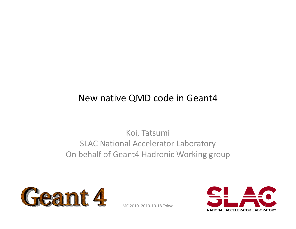#### New native QMD code in Geant4

Koi, Tatsumi SLAC National Accelerator Laboratory On behalf of Geant4 Hadronic Working group



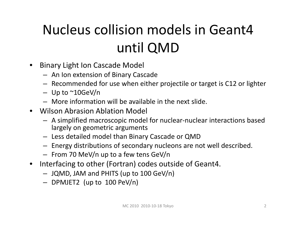# Nucleus collision models in Geant4 until QMD

- • Binary Light Ion Cascade Model
	- An Ion extension of Binary Cascade
	- Recommended for use when either projectile or target is C12 or lighter
	- Up to ~10GeV/n
	- More information will be available in the next slide.
- Wilson Abrasion Ablation Model
	- A simplified macroscopic model for nuclear‐nuclear interactions based largely on geometric arguments
	- Less detailed model than Binary Cascade or QMD
	- Energy distributions of secondary nucleons are not well described.
	- From 70 MeV/n up to <sup>a</sup> few tens GeV/n
- • Interfacing to other (Fortran) codes outside of Geant4.
	- JQMD, JAM and PHITS (up to 100 GeV/n)
	- $-$  DPMJET2 (up to 100 PeV/n)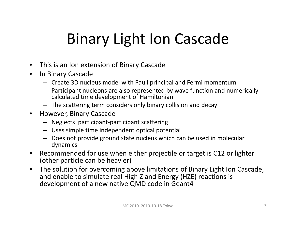# Binary Light Ion Cascade

- •This is an Ion extension of Binary Cascade
- •• In Binary Cascade
	- Create 3D nucleus model with Pauli principal and Fermi momentum
	- Participant nucleons are also represented by wave function and numerically calculated time development of Hamiltonian
	- The scattering term considers only binary collision and decay
- $\bullet$  However, Binary Cascade
	- Neglects participant‐participant scattering
	- Uses simple time independent optical potential
	- Does not provide ground state nucleus which can be used in molecular dynamics
- •• Recommended for use when either projectile or target is C12 or lighter (other particle can be heavier)
- $\bullet$  The solution for overcoming above limitations of Binary Light Ion Cascade, and enable to simulate real High Z and Energy (HZE) reactions is development of <sup>a</sup> new native QMD code in Geant4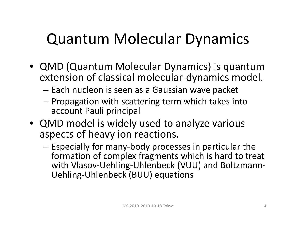# Quantum Molecular Dynamics

- QMD (Quantum Molecular Dynamics) is quantum extension of classical molecular‐dynamics model.
	- – $-$  Each nucleon is seen as a Gaussian wave packet
	- $-$  Propagation with scattering term which takes into account Pauli principal
- QMD model is widely used to analyze various aspects of heavy ion reactions.
	- – Especially for many‐body processes in particular the formation of complex fragments which is hard to treat with Vlasov‐Uehling‐Uhlenbeck (VUU) and Boltzmann‐ Uehling‐Uhlenbeck (BUU) equations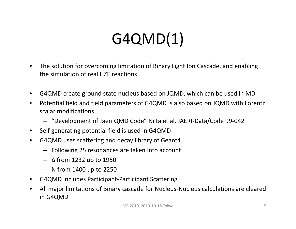# G4QMD(1)

- • The solution for overcoming limitation of Binary Light Ion Cascade, and enabling the simulation of real HZE reactions
- •G4QMD create ground state nucleus based on JQMD, which can be used in MD
- • Potential field and field parameters of G4QMD is also based on JQMD with Lorentz scalar modifications
	- "Development of Jaeri QMD Code" Niita et al, JAERI‐Data/Code 99‐042
- •Self generating potential field is used in G4QMD
- $\bullet$  G4QMD uses scattering and decay library of Geant4
	- Following 25 resonances are taken into account
	- Δ from 1232 up to 1950
	- N from 1400 up to 2250
- •G4QMD includes Participant‐Participant Scattering
- • All major limitations of Binary cascade for Nucleus‐Nucleus calculations are cleared in G4QMD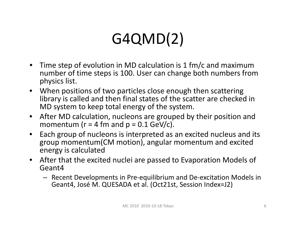# G4QMD(2)

- $\bullet$  Time step of evolution in MD calculation is 1 fm/c and maximum number of time steps is 100. User can change both numbers from physics list.
- When positions of two particles close enough then scattering library is called and then final states of the scatter are checked in MD system to keep total energy of the system.
- $\bullet$  After MD calculation, nucleons are grouped by their position and momentum (r = 4 fm and p = 0.1 GeV/c).
- $\bullet$ • Each group of nucleons is interpreted as an excited nucleus and its group momentum(CM motion), angular momentum and excited energy is calculated
- After that the excited nuclei are passed to Evaporation Models of Geant4
	- Recent Developments in Pre‐equilibrium and De‐excitation Models in Geant4, José M. QUESADA et al. (Oct21st, Session Index=J2)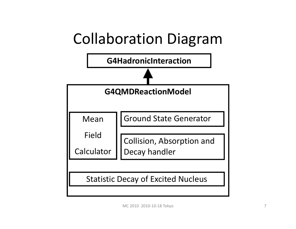# Collaboration Diagram

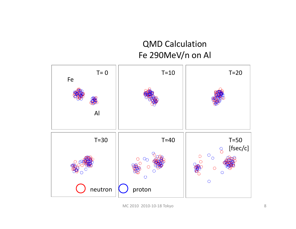#### QMD Calculation Fe 290MeV/n on Al

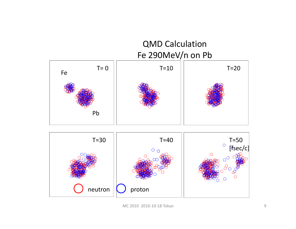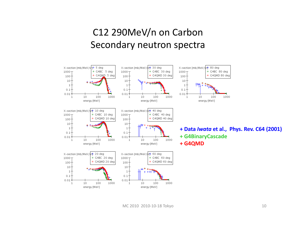#### C12 290MeV/n on Carbon Secondary neutron spectra

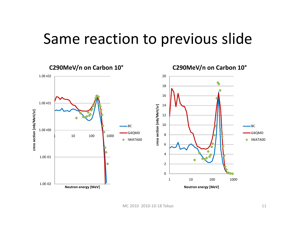## Same reaction to previous slide

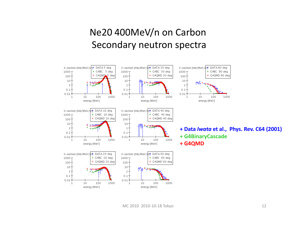#### Ne20 400MeV/n on Carbon Secondary neutron spectra

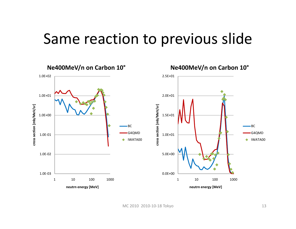## Same reaction to previous slide

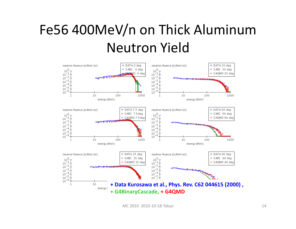## Fe56 400MeV/n on Thick Aluminum Neutron Yield

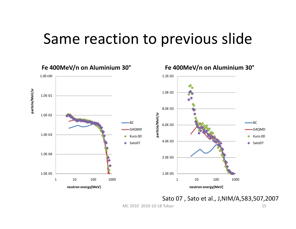## Same reaction to previous slide



**Fe 400MeV/n on Aluminium 30°**

Sato 07 , Sato et al., J,NIM/A,583,507,2007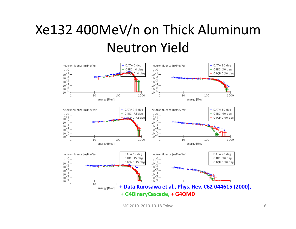## Xe132 400MeV/n on Thick Aluminum Neutron Yield

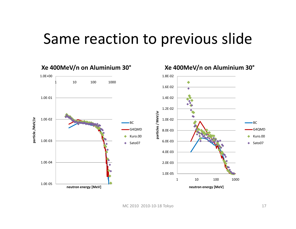## Same reaction to previous slide

**Xe 400MeV/n on Aluminium 30°**



#### **Xe 400MeV/n on Aluminium 30°**

MC 2010 2010‐10‐18 Tokyo 17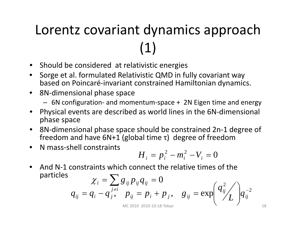# Lorentz covariant dynamics approach (1)

- Should be considered at relativistic energies
- • Sorge et al. formulated Relativistic QMD in fully covariant way based on Poincaré‐invariant constrained Hamiltonian dynamics.
- 8N‐dimensional phase space
	- 6N configuration‐ and momentum‐space <sup>+</sup> 2N Eigen time and energy
- Physical events are described as world lines in the 6N‐dimensional phase space
- 8N‐dimensional phase space should be constrained 2n‐1 degree of freedom and have 6N+1 (global time τ) degree of freedom
- N mass‐shell constraints

$$
H_i = p_i^2 - m_i^2 - V_i = 0
$$

•● And N-1 constraints which connect the relative times of the particles ∑

$$
\chi_{i} = \sum_{j \neq i} g_{ij} p_{ij} q_{ij} = 0
$$
  
\n
$$
q_{ij} = q_{i} - q_{j}^{j \neq i}, \quad p_{ij} = p_{i} + p_{j}, \quad g_{ij} = \exp\left(\frac{q_{ij}^{2}}{L}\right) q_{ij}^{-2}
$$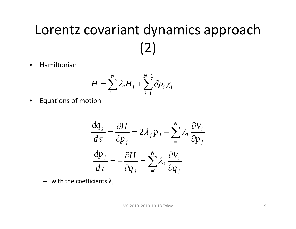# Lorentz covariant dynamics approach (2)

•Hamiltonian

$$
H = \sum_{i=1}^N \lambda_i H_i + \sum_{i=1}^{N-1} \delta \mu_i \chi_i
$$

•Equations of motion

$$
\frac{dq_j}{d\tau} = \frac{\partial H}{\partial p_j} = 2\lambda_j p_j - \sum_{i=1}^N \lambda_i \frac{\partial V_i}{\partial p_j}
$$

$$
\frac{dp_j}{d\tau} = -\frac{\partial H}{\partial q_j} = \sum_{i=1}^N \lambda_i \frac{\partial V_i}{\partial q_j}
$$

 $-$  with the coefficients  $\lambda_{\text{i}}$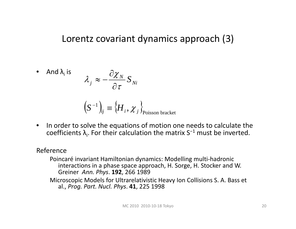#### Lorentz covariant dynamics approach (3)

• And 
$$
\lambda_i
$$
 is 
$$
\lambda_j \approx -\frac{\partial \chi_N}{\partial \tau} S_{Ni}
$$

$$
(S^{-1})_{ij} = \{H_i, \chi_j\}_{Poisson bracket}
$$

 $\bullet$ • In order to solve the equations of motion one needs to calculate the coefficients  $\lambda_i$ . For their calculation the matrix S<sup>-1</sup> must be inverted.

#### Reference

Poincaré invariant Hamiltonian dynamics: Modelling multi‐hadronic interactions in <sup>a</sup> phase space approach, H. Sorge, H. Stocker and W. Greiner *Ann. Phys*. **192**, 266 1989

Microscopic Models for Ultrarelativistic Heavy Ion Collisions S. A. Bass et al., *Prog. Part. Nucl. Phys*. **41**, 225 1998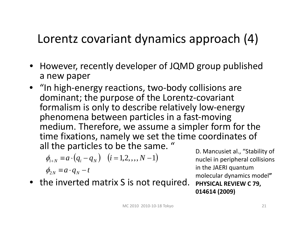### Lorentz covariant dynamics approach (4)

- However, recently developer of JQMD group published a new paper
- "In high‐energy reactions, two‐body collisions are dominant; the purpose of the Lorentz‐covariant formalism is only to describe relatively low‐energy phenomena between particles in <sup>a</sup> fast‐moving medium. Therefore, we assume <sup>a</sup> simpler form for the time fixations, namely we set the time coordinates of all the particles to be the same. "

$$
\phi_{i+N} \equiv a \cdot (q_i - q_N) \quad (i = 1, 2, \dots, N-1)
$$
  

$$
\phi_{2N} \equiv a \cdot q_N - t
$$

• the inverted matrix S is not required.

D. Mancusiet al., "Stability of nuclei in peripheral collisions in the JAERI quantum molecular dynamics model**" PHYSICAL REVIEW C 79, 014614 (2009)**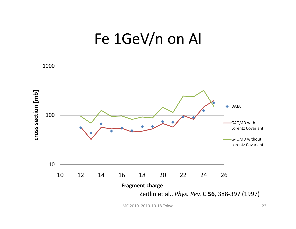## Fe 1GeV/n on Al

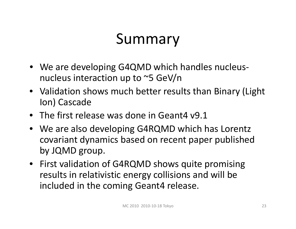# Summary

- We are developing G4QMD which handles nucleus‐ nucleus interaction up to ~5 GeV/n
- Validation shows much better results than Binary (Light Ion) Cascade
- The first release was done in Geant4 v9.1
- We are also developing G4RQMD which has Lorentz covariant dynamics based on recent paper published by JQMD group.
- First validation of G4RQMD shows quite promising results in relativistic energy collisions and will be included in the coming Geant4 release.